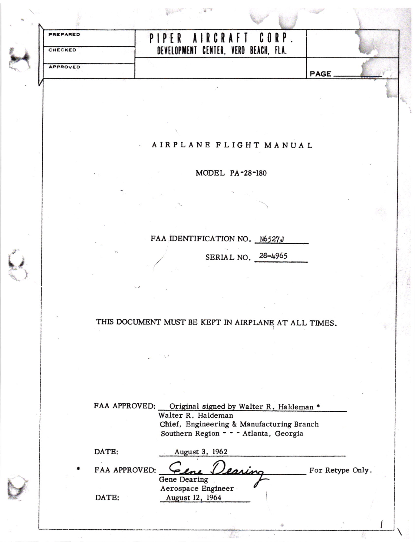| <b>PREPARED</b> | PIPER AIRCRAFT CORP                  |             |
|-----------------|--------------------------------------|-------------|
| CHECKED         | DEVELOPMENT CENTER, VERO BEACH, FLA. |             |
| <b>APPROVED</b> |                                      | <b>PAGE</b> |

## AIRPLANE FLIGHT MANUAL

MODEL PA-28-180

## FAA IDENTIFICATION NO. N6527J

SERIAL NO. 28-4965

## THIS DOCUMENT MUST BE KEPT IN AIRPLANE AT ALL TIMES.

| FAA APPROVED: | Original signed by Walter R. Haldeman *   |                 |
|---------------|-------------------------------------------|-----------------|
|               | Walter R. Haldeman                        |                 |
|               | Chief, Engineering & Manufacturing Branch |                 |
|               | Southern Region - - - Atlanta, Georgia    |                 |
| DATE:         | August 3, 1962                            |                 |
| FAA APPROVED: | Eene<br>Jearing                           | For Retype Only |
|               | Gene Dearing                              |                 |
|               | Aerospace Engineer                        |                 |

August 12, 1964

DATE: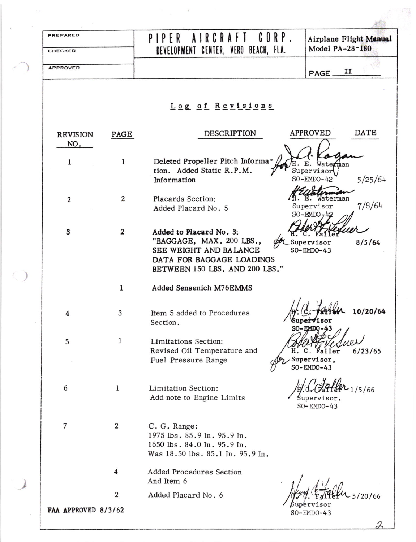| PREPARED<br>CHECKED    |                  | $CORP$ .<br>AIRCRAFT<br>PIPER<br>DEVELOPMENT CENTER, VERO BEACH, FLA.                                                                        | Airplane Flight Manual<br>Model PA=28-180            |
|------------------------|------------------|----------------------------------------------------------------------------------------------------------------------------------------------|------------------------------------------------------|
| <b>APPROVED</b>        |                  |                                                                                                                                              | п<br>PAGE                                            |
|                        |                  | Log of Revisions                                                                                                                             |                                                      |
| <b>REVISION</b><br>NO. | PAGE             | <b>DESCRIPTION</b>                                                                                                                           | DATE<br><b>APPROVED</b>                              |
| 1                      | 1                | Deleted Propeller Pitch Informa-<br>tion. Added Static R.P.M.<br>Information                                                                 | mtan<br>Supervisor<br>SO-EMDO-42<br>5/25/64          |
| $\overline{2}$         | $\boldsymbol{2}$ | Placards Section:<br>Added Placard No. 5                                                                                                     | Waterman<br>7/8/64<br>Supervisor<br>$SO-EMDO$        |
| $\mathbf{3}$           | $\boldsymbol{2}$ | Added to Placard No. 3:<br>"BAGGAGE, MAX. 200 LBS.,<br>SEE WEIGHT AND BALANCE<br>DATA FOR BAGGAGE LOADINGS<br>BETWEEN 150 LBS. AND 200 LBS." | 8/5/64<br>Supervisor<br>SO-EMDO-43                   |
|                        | 1                | Added Sensenich M76EMMS                                                                                                                      |                                                      |
| 4                      | 3                | Item 5 added to Procedures<br>Section.                                                                                                       | 1. de farlen<br>10/20/64<br>Supervisor<br>SO-EMDO-43 |
| 5                      | 1                | Limitations Section:<br>Revised Oil Temperature and<br>Η.<br>Fuel Pressure Range                                                             | 6/23/65<br>C. Faller<br>Supervisor,<br>SO-EMDO-43    |
| 6                      | $\bf{l}$         | Limitation Section:<br>Add note to Engine Limits                                                                                             | /5/66<br>Supervisor,<br>$SO$ -EMDO-43                |
| 7                      | $\overline{2}$   | C. G. Range:<br>1975 lbs. 85.9 In. 95.9 In.<br>1650 lbs. 84.0 In. 95.9 In.<br>Was 18.50 lbs. 85.1 In. 95.9 In.                               |                                                      |
|                        | 4                | Added Procedures Section<br>And Item 6                                                                                                       |                                                      |
|                        | $\overline{2}$   | Added Placard No. 6                                                                                                                          | 5/20/66<br>$\beta$ upervisor                         |
| FAA APPROVED 8/3/62    |                  |                                                                                                                                              | $SO-EMDO-43$                                         |

∽

 $\mathcal{F}_{\mathcal{A}}$  , and  $\mathcal{F}_{\mathcal{A}}$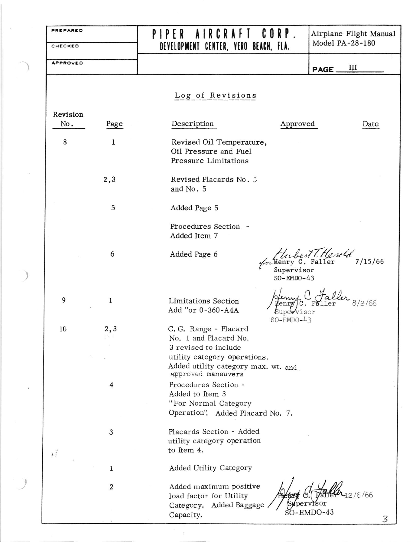| PREPARED        |                  | RCRAFT CORP.<br>PIPFR<br>A I                                                                        |                                    | Airplane Flight Manual      |  |
|-----------------|------------------|-----------------------------------------------------------------------------------------------------|------------------------------------|-----------------------------|--|
| CHECKED         |                  | DEVELOPMENT CENTER, VERO BEACH, FLA.                                                                |                                    | Model PA-28-180             |  |
| <b>APPROVED</b> |                  |                                                                                                     |                                    | Ш<br>PAGE.                  |  |
|                 |                  | Log of Revisions                                                                                    |                                    |                             |  |
| Revision        |                  |                                                                                                     |                                    |                             |  |
| No.             | Page             | Description                                                                                         | Approved                           | Date                        |  |
| 8               | 1                | Revised Oil Temperature,<br>Oil Pressure and Fuel<br>Pressure Limitations                           |                                    |                             |  |
|                 | 2,3              | Revised Placards No. 3<br>and No. 5                                                                 |                                    |                             |  |
|                 | 5                | Added Page 5                                                                                        |                                    |                             |  |
|                 |                  | Procedures Section -<br>Added Item 7                                                                |                                    |                             |  |
|                 | 6                | Added Page 6                                                                                        | Supervisor<br>$SO-EMDO-43$         | Aubert T. Herold<br>7/15/66 |  |
| 9               | 1                | <b>Limitations Section</b><br>Add "or 0-360-A4A                                                     | enry<br>Supervisor<br>$SO-EMDO-43$ | 8/2/66<br>$C.$ $FA$         |  |
| 10              | 2,3              | C.G. Range - Placard<br>No. 1 and Placard No.<br>3 revised to include                               |                                    |                             |  |
|                 |                  | utility category operations.<br>Added utility category max. wt. and<br>approved maneuvers           |                                    |                             |  |
|                 | 4                | Procedures Section -<br>Added to Item 3<br>"For Normal Category<br>Operation". Added Placard No. 7. |                                    |                             |  |
| $\frac{3}{2}$   | $\sqrt{3}$       | Placards Section - Added<br>utility category operation<br>to Item 4.                                |                                    |                             |  |
|                 | $\mathbf 1$      | Added Utility Category                                                                              |                                    |                             |  |
|                 | $\boldsymbol{2}$ | Added maximum positive<br>load factor for Utility<br>Category. Added Baggage                        | Supervisor                         | 2/6/66                      |  |
|                 |                  | Capacity.                                                                                           |                                    | $SO$ -EMDO-43               |  |